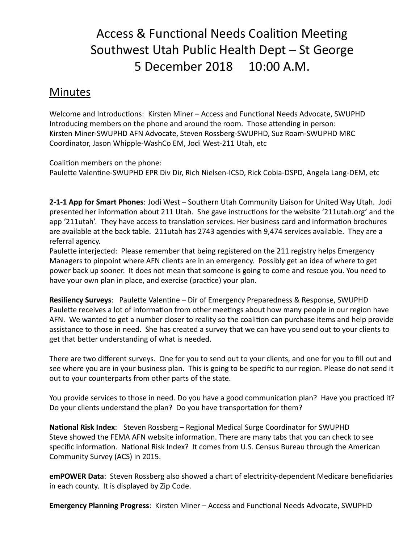## Access & Functional Needs Coalition Meeting Southwest Utah Public Health Dept – St George 5 December 2018 10:00 A.M.

## Minutes

Welcome and Introductions: Kirsten Miner – Access and Functional Needs Advocate, SWUPHD Introducing members on the phone and around the room. Those attending in person: Kirsten Miner-SWUPHD AFN Advocate, Steven Rossberg-SWUPHD, Suz Roam-SWUPHD MRC Coordinator, Jason Whipple-WashCo EM, Jodi West-211 Utah, etc

Coalition members on the phone: Paulette Valentine-SWUPHD EPR Div Dir, Rich Nielsen-ICSD, Rick Cobia-DSPD, Angela Lang-DEM, etc

**2-1-1 App for Smart Phones**: Jodi West – Southern Utah Community Liaison for United Way Utah. Jodi presented her information about 211 Utah. She gave instructions for the website '211utah.org' and the app '211utah'. They have access to translation services. Her business card and information brochures are available at the back table. 211utah has 2743 agencies with 9,474 services available. They are a referral agency.

Paulette interjected: Please remember that being registered on the 211 registry helps Emergency Managers to pinpoint where AFN clients are in an emergency. Possibly get an idea of where to get power back up sooner. It does not mean that someone is going to come and rescue you. You need to have your own plan in place, and exercise (practice) your plan.

**Resiliency Surveys:** Paulette Valentine – Dir of Emergency Preparedness & Response, SWUPHD Paulette receives a lot of information from other meetings about how many people in our region have AFN. We wanted to get a number closer to reality so the coalition can purchase items and help provide assistance to those in need. She has created a survey that we can have you send out to your clients to get that better understanding of what is needed.

There are two different surveys. One for you to send out to your clients, and one for you to fill out and see where you are in your business plan. This is going to be specific to our region. Please do not send it out to your counterparts from other parts of the state.

You provide services to those in need. Do you have a good communication plan? Have you practiced it? Do your clients understand the plan? Do you have transportation for them?

National Risk Index: Steven Rossberg - Regional Medical Surge Coordinator for SWUPHD Steve showed the FEMA AFN website information. There are many tabs that you can check to see specific information. National Risk Index? It comes from U.S. Census Bureau through the American Community Survey (ACS) in 2015.

**emPOWER Data**: Steven Rossberg also showed a chart of electricity-dependent Medicare beneficiaries in each county. It is displayed by Zip Code.

**Emergency Planning Progress: Kirsten Miner – Access and Functional Needs Advocate, SWUPHD**